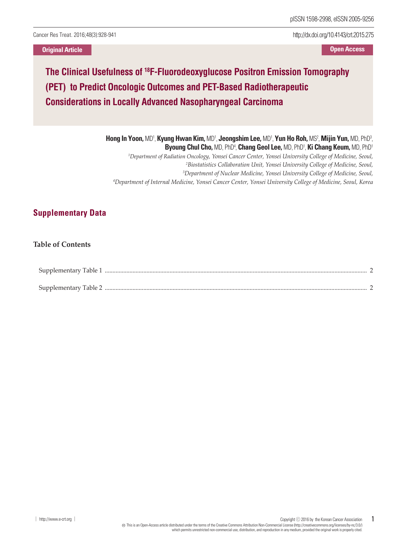Cancer Res Treat. 2016;48(3):928-941

**Original Article Open Access**

http://dx.doi.org/10.4143/crt.2015.275

## **The Clinical Usefulness of <sup>18</sup> F-Fluorodeoxyglucose Positron Emission Tomography (PET) to Predict Oncologic Outcomes and PET-Based Radiotherapeutic Considerations in Locally Advanced Nasopharyngeal Carcinoma**

**Hong In Yoon,** MD1 , **Kyung Hwan Kim,** MD1 , **Jeongshim Lee,** MD1 , **Yun Ho Roh,** MS2 , **Mijin Yun,** MD, PhD3 , **Byoung Chul Cho,** MD, PhD4 , **Chang Geol Lee,** MD, PhD1 , **Ki Chang Keum,** MD, PhD1 *Department of Radiation Oncology, Yonsei Cancer Center, Yonsei University College of Medicine, Seoul, Biostatistics Collaboration Unit, Yonsei University College of Medicine, Seoul, Department of Nuclear Medicine, Yonsei University College of Medicine, Seoul, Department of Internal Medicine, Yonsei Cancer Center, Yonsei University College of Medicine, Seoul, Korea*

## **Supplementary Data**

## **Table of Contents**

| Supplementary Table 1 |  |
|-----------------------|--|
| Supplementary Table 2 |  |